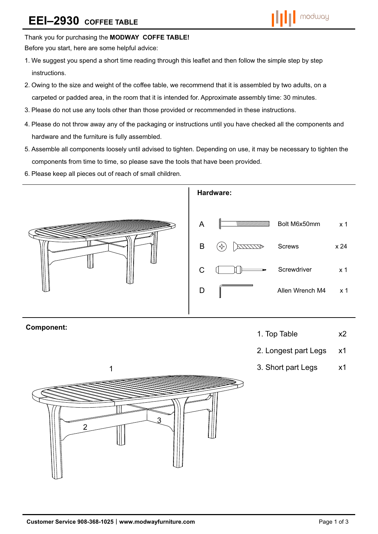# **EEI–2930 COFFEE TABLE**



#### Thank you for purchasing the **MODWAY COFFE TABLE!**

Before you start, here are some helpful advice:

- 1.We suggest you spend a short time reading through this leaflet and then follow the simple step by step instructions.
- 2.Owing to the size and weight of the coffee table, we recommend that it is assembled by two adults, on a carpeted or padded area, in the room that it is intended for. Approximate assembly time: 30 minutes.
- 3.Please do not use any tools other than those provided or recommended in these instructions.
- 4.Please do not throw away any of the packaging or instructions until you have checked all the components and hardware and the furniture is fully assembled.
- 5.Assemble all components loosely until advised to tighten. Depending on use, it may be necessary to tighten the components from time to time, so please save the tools that have been provided.
- 6.Please keep all pieces out of reach of small children.



## **Component:**

- 1. Top Table x2
- 2. Longest part Legs x1
- 3. Short part Legs x1

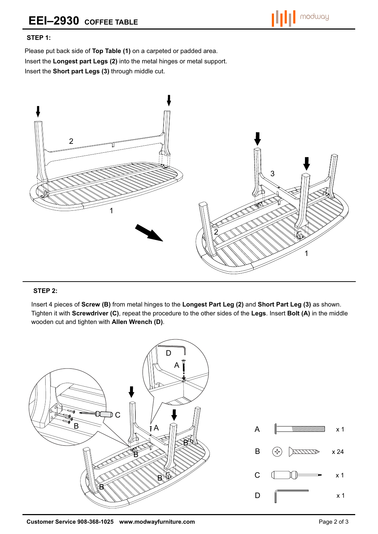### **STEP 1:**

Please put back side of **Top Table (1)** on a carpeted or padded area. Insert the **Longest part Legs (2)** into the metal hinges or metal support. Insert the **Short part Legs (3)** through middle cut.



#### **STEP 2:**

Insert 4 pieces of **Screw (B)** from metal hinges to the **Longest Part Leg (2)** and **Short Part Leg (3)** as shown. Tighten it with **Screwdriver (C)**, repeat the procedure to the other sides of the **Legs**. Insert **Bolt (A)** in the middle wooden cut and tighten with **Allen Wrench (D)**.